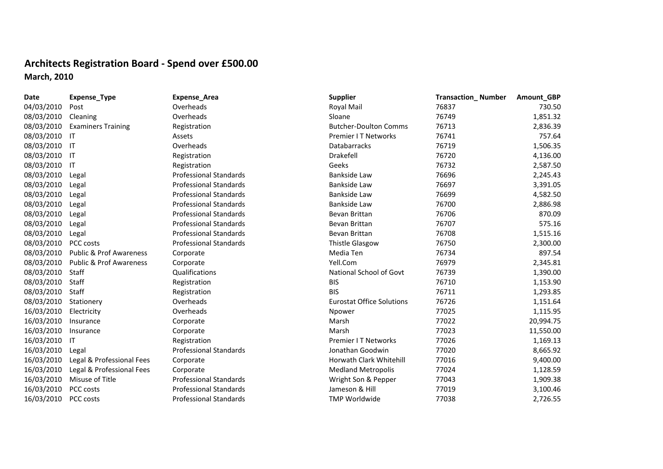## **Architects Registration Board ‐ Spend over £500.00 March, 2010**

| Date       | Expense_Type                       | <b>Expense_Area</b>           | <b>Supplier</b>                  | <b>Transaction_Number</b> | Amount_GBP |
|------------|------------------------------------|-------------------------------|----------------------------------|---------------------------|------------|
| 04/03/2010 | Post                               | Overheads                     | Royal Mail                       | 76837                     | 730.50     |
| 08/03/2010 | Cleaning                           | Overheads                     | Sloane                           | 76749                     | 1,851.32   |
| 08/03/2010 | <b>Examiners Training</b>          | Registration                  | <b>Butcher-Doulton Comms</b>     | 76713                     | 2,836.39   |
| 08/03/2010 | $\mathsf{I}$                       | Assets                        | Premier I T Networks             | 76741                     | 757.64     |
| 08/03/2010 | ा                                  | Overheads                     | <b>Databarracks</b>              | 76719                     | 1,506.35   |
| 08/03/2010 | ाा                                 | Registration                  | Drakefell                        | 76720                     | 4,136.00   |
| 08/03/2010 | IT                                 | Registration                  | Geeks                            | 76732                     | 2,587.50   |
| 08/03/2010 | Legal                              | <b>Professional Standards</b> | <b>Bankside Law</b>              | 76696                     | 2,245.43   |
| 08/03/2010 | Legal                              | <b>Professional Standards</b> | <b>Bankside Law</b>              | 76697                     | 3,391.05   |
| 08/03/2010 | Legal                              | <b>Professional Standards</b> | <b>Bankside Law</b>              | 76699                     | 4,582.50   |
| 08/03/2010 | Legal                              | <b>Professional Standards</b> | Bankside Law                     | 76700                     | 2,886.98   |
| 08/03/2010 | Legal                              | <b>Professional Standards</b> | Bevan Brittan                    | 76706                     | 870.09     |
| 08/03/2010 | Legal                              | <b>Professional Standards</b> | Bevan Brittan                    | 76707                     | 575.16     |
| 08/03/2010 | Legal                              | <b>Professional Standards</b> | Bevan Brittan                    | 76708                     | 1,515.16   |
| 08/03/2010 | PCC costs                          | <b>Professional Standards</b> | <b>Thistle Glasgow</b>           | 76750                     | 2,300.00   |
| 08/03/2010 | <b>Public &amp; Prof Awareness</b> | Corporate                     | Media Ten                        | 76734                     | 897.54     |
| 08/03/2010 | <b>Public &amp; Prof Awareness</b> | Corporate                     | Yell.Com                         | 76979                     | 2,345.81   |
| 08/03/2010 | Staff                              | Qualifications                | National School of Govt          | 76739                     | 1,390.00   |
| 08/03/2010 | Staff                              | Registration                  | <b>BIS</b>                       | 76710                     | 1,153.90   |
| 08/03/2010 | Staff                              | Registration                  | <b>BIS</b>                       | 76711                     | 1,293.85   |
| 08/03/2010 | Stationery                         | Overheads                     | <b>Eurostat Office Solutions</b> | 76726                     | 1,151.64   |
| 16/03/2010 | Electricity                        | Overheads                     | Npower                           | 77025                     | 1,115.95   |
| 16/03/2010 | Insurance                          | Corporate                     | Marsh                            | 77022                     | 20,994.75  |
| 16/03/2010 | Insurance                          | Corporate                     | Marsh                            | 77023                     | 11,550.00  |
| 16/03/2010 | IT                                 | Registration                  | Premier I T Networks             | 77026                     | 1,169.13   |
| 16/03/2010 | Legal                              | <b>Professional Standards</b> | Jonathan Goodwin                 | 77020                     | 8,665.92   |
| 16/03/2010 | Legal & Professional Fees          | Corporate                     | Horwath Clark Whitehill          | 77016                     | 9,400.00   |
| 16/03/2010 | Legal & Professional Fees          | Corporate                     | <b>Medland Metropolis</b>        | 77024                     | 1,128.59   |
| 16/03/2010 | Misuse of Title                    | <b>Professional Standards</b> | Wright Son & Pepper              | 77043                     | 1,909.38   |
| 16/03/2010 | PCC costs                          | <b>Professional Standards</b> | Jameson & Hill                   | 77019                     | 3,100.46   |
| 16/03/2010 | <b>PCC costs</b>                   | <b>Professional Standards</b> | <b>TMP Worldwide</b>             | 77038                     | 2,726.55   |